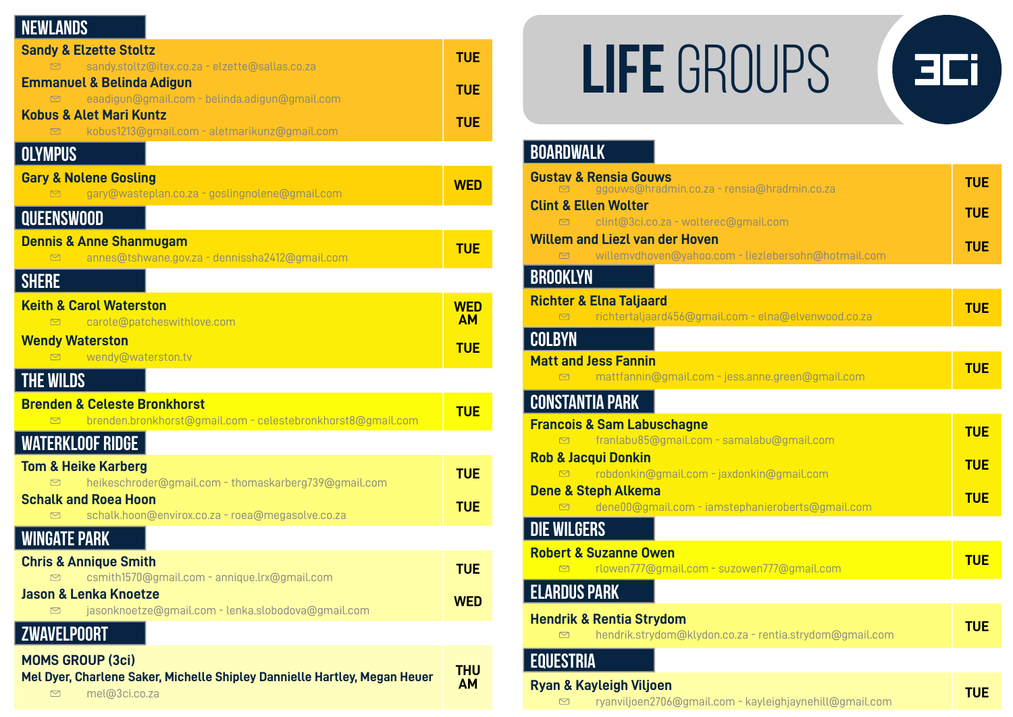#### **NEWLANDS**

| <b>Sandy &amp; Elzette Stoltz</b>                                                                    | <b>TUE</b>              |
|------------------------------------------------------------------------------------------------------|-------------------------|
| sandy.stoltz@itex.co.za - elzette@sallas.co.za<br>罓<br><b>Emmanuel &amp; Belinda Adigun</b>          |                         |
| eaadigun@gmail.com - belinda.adigun@gmail.com<br>$\quad \  \  \, \boxdot$                            | <b>TUE</b>              |
| <b>Kobus &amp; Alet Mari Kuntz</b>                                                                   | <b>TUE</b>              |
| kobus1213@gmail.com - aletmarikunz@gmail.com<br>$\boxtimes$                                          |                         |
| <b>OLYMPUS</b>                                                                                       |                         |
| <b>Gary &amp; Nolene Gosling</b>                                                                     | <b>WED</b>              |
| gary@wasteplan.co.za - goslingnolene@gmail.com                                                       |                         |
| <b>QUEENSWOOD</b>                                                                                    |                         |
| <b>Dennis &amp; Anne Shanmugam</b><br>$\boxtimes$                                                    | <b>TUE</b>              |
| annes@tshwane.gov.za - dennissha2412@gmail.com                                                       |                         |
| <b>SHERE</b>                                                                                         |                         |
| <b>Keith &amp; Carol Waterston</b>                                                                   | <b>WED</b><br><b>AM</b> |
| carole@patcheswithlove.com<br>$\quad \  \  \, \boxdot$<br><b>Wendy Waterston</b>                     |                         |
| wendy@waterston.tv<br>$\quad \  \  \, \boxtimes$                                                     | <b>TUE</b>              |
| <b>THE WILDS</b>                                                                                     |                         |
| <b>Brenden &amp; Celeste Bronkhorst</b>                                                              | <b>TUE</b>              |
| brenden.bronkhorst@gmail.com - celestebronkhorst8@gmail.com<br>$\boxdot$                             |                         |
| <b>WATERKLOOF RIDGE</b>                                                                              |                         |
| <b>Tom &amp; Heike Karberg</b>                                                                       | <b>TUE</b>              |
| heikeschroder@gmail.com - thomaskarberg739@gmail.com<br><b>Schalk and Roea Hoon</b>                  |                         |
| schalk.hoon@envirox.co.za - roea@megasolve.co.za<br>⊠                                                | <b>TUE</b>              |
| <b>WINGATE PARK</b>                                                                                  |                         |
| <b>Chris &amp; Annique Smith</b>                                                                     | <b>TUE</b>              |
| csmith1570@gmail.com - annique.lrx@gmail.com                                                         |                         |
| <b>Jason &amp; Lenka Knoetze</b><br>jasonknoetze@gmail.com - lenka.slobodova@gmail.com<br>⊠          | <b>WED</b>              |
| <b>ZWAVELPOORT</b>                                                                                   |                         |
|                                                                                                      |                         |
| <b>MOMS GROUP (3ci)</b><br>Mel Dyer, Charlene Saker, Michelle Shipley Dannielle Hartley, Megan Heuer | <b>THU</b>              |
| mel@3ci.co.za<br>⊠                                                                                   | AM                      |

# LIFE GROUPS



#### Boardwalk

| <b>Gustav &amp; Rensia Gouws</b><br>ggouws@hradmin.co.za - rensia@hradmin.co.za                     | <b>TUE</b> |
|-----------------------------------------------------------------------------------------------------|------------|
| <b>Clint &amp; Ellen Wolter</b><br>$\Box$                                                           | <b>TUE</b> |
| clint@3ci.co.za - wolterec@gmail.com<br><b>Willem and Liezl van der Hoven</b>                       | <b>TUE</b> |
| willemvdhoven@yahoo.com - liezlebersohn@hotmail.com<br>$\quad \  \  \, \boxtimes$                   |            |
| <b>BROOKLYN</b>                                                                                     |            |
| <b>Richter &amp; Elna Taljaard</b>                                                                  | <b>TUE</b> |
| richtertaljaard456@gmail.com - elna@elvenwood.co.za<br>$\Box$                                       |            |
| <b>COLBYN</b>                                                                                       |            |
| <b>Matt and Jess Fannin</b>                                                                         | <b>TUE</b> |
| mattfannin@gmail.com - jess.anne.green@gmail.com<br>$\sim$                                          |            |
| <b>CONSTANTIA PARK</b>                                                                              |            |
| <b>Francois &amp; Sam Labuschagne</b>                                                               | <b>TUE</b> |
| franlabu85@gmail.com - samalabu@gmail.com<br>$\Box$                                                 |            |
| <b>Rob &amp; Jacqui Donkin</b><br>robdonkin@gmail.com - jaxdonkin@gmail.com<br>$\quad \, \boxtimes$ | <b>TUE</b> |
| <b>Dene &amp; Steph Alkema</b>                                                                      |            |
| dene00@gmail.com - iamstephanieroberts@gmail.com<br>$\triangleright$                                | <b>TUE</b> |
| <b>DIE WILGERS</b>                                                                                  |            |
| <b>Robert &amp; Suzanne Owen</b>                                                                    | <b>TUE</b> |
| rlowen777@gmail.com - suzowen777@gmail.com<br>$\quad \  \  \, \boxdot$                              |            |
| <b>ELARDUS PARK</b>                                                                                 |            |
| <b>Hendrik &amp; Rentia Strydom</b>                                                                 | <b>TUE</b> |
| hendrik.strydom@klydon.co.za - rentia.strydom@gmail.com<br>$\boxtimes$                              |            |
| <b>EQUESTRIA</b>                                                                                    |            |
| Ryan & Kayleigh Viljoen<br>ryanviljoen2706@gmail.com - kayleighjaynehill@gmail.com<br>☑             | <b>TUE</b> |